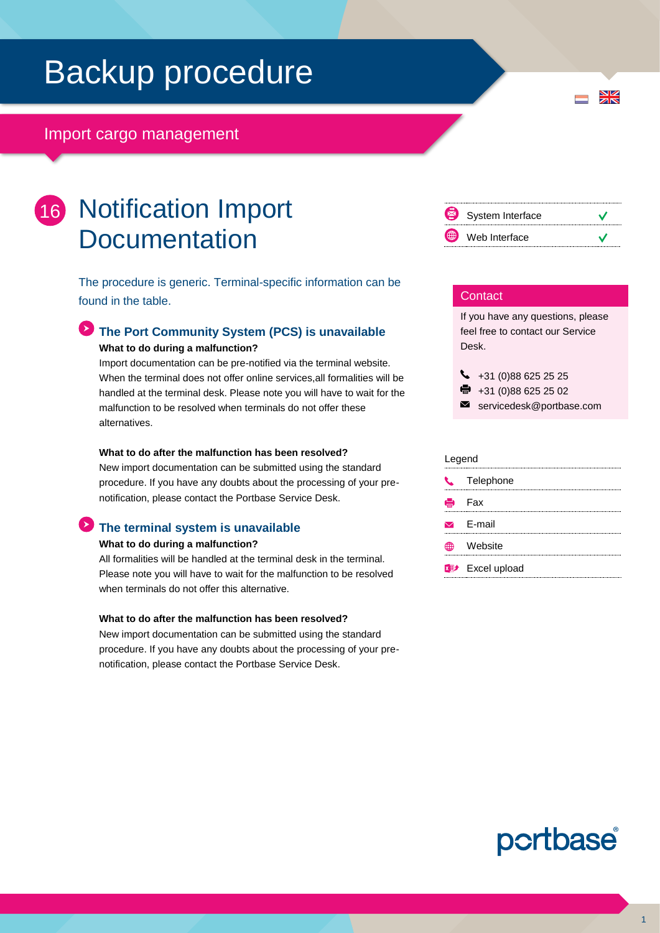# Backup procedure

# Import cargo management

# 16 Notification Import **Documentation**

The procedure is generic. Terminal-specific information can be found in the table.

## **The Port Community System (PCS) is unavailable What to do during a malfunction?**

Import documentation can be pre-notified via the terminal website. When the terminal does not offer online services,all formalities will be handled at the terminal desk. Please note you will have to wait for the malfunction to be resolved when terminals do not offer these alternatives.

#### **What to do after the malfunction has been resolved?**

New import documentation can be submitted using the standard procedure. If you have any doubts about the processing of your prenotification, please contact the Portbase Service Desk.

# **The terminal system is unavailable**

#### **What to do during a malfunction?**

All formalities will be handled at the terminal desk in the terminal. Please note you will have to wait for the malfunction to be resolved when terminals do not offer this alternative.

#### **What to do after the malfunction has been resolved?**

New import documentation can be submitted using the standard procedure. If you have any doubts about the processing of your prenotification, please contact the Portbase Service Desk.



 $\frac{N}{Z}$ 

#### **Contact**

If you have any questions, please feel free to contact our Service Desk.

 $\bigcup$  +31 (0)88 625 25 25

- $\bullet$  +31 (0)88 625 25 02
- servicedesk@portbase.com

#### Legend

| $\mathcal{L}$ | Telephone                           |
|---------------|-------------------------------------|
|               | <b>eded</b> Fax                     |
|               | $\triangleright$ F-mail             |
| ĦĐ            | Website                             |
|               | <b>x</b> <sup>p+</sup> Excel upload |



1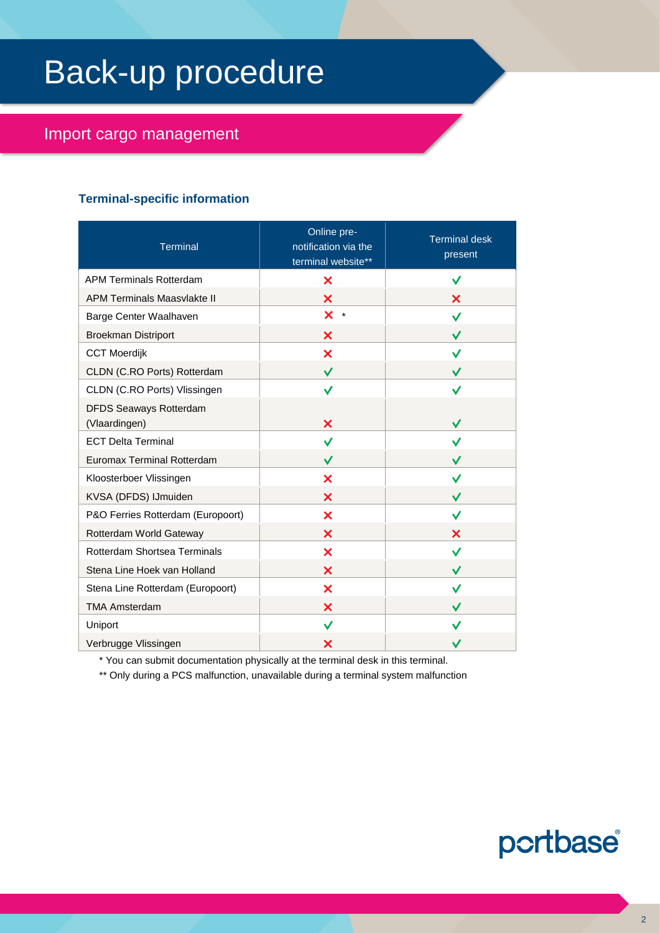# Back-up procedure

# Import cargo management

# **Terminal-specific information**

| <b>Terminal</b>                                | Online pre-<br>notification via the<br>terminal website** | <b>Terminal desk</b><br>present |
|------------------------------------------------|-----------------------------------------------------------|---------------------------------|
| <b>APM Terminals Rotterdam</b>                 | ×                                                         | ✓                               |
| <b>APM Terminals Maasvlakte II</b>             | ×                                                         | ×                               |
| Barge Center Waalhaven                         | $\times$ $\cdot$                                          | ✓                               |
| <b>Broekman Distriport</b>                     | ×                                                         | ✓                               |
| <b>CCT Moerdijk</b>                            | ×                                                         | ✓                               |
| CLDN (C.RO Ports) Rotterdam                    | $\checkmark$                                              | $\checkmark$                    |
| CLDN (C.RO Ports) Vlissingen                   | ✓                                                         | ✓                               |
| <b>DFDS Seaways Rotterdam</b><br>(Vlaardingen) | ×                                                         | ✓                               |
| <b>ECT Delta Terminal</b>                      | ✓                                                         |                                 |
| <b>Euromax Terminal Rotterdam</b>              | ✓                                                         |                                 |
| Kloosterboer Vlissingen                        | ×                                                         | ✓                               |
| KVSA (DFDS) IJmuiden                           | X                                                         | ✓                               |
| P&O Ferries Rotterdam (Europoort)              | ×                                                         | ✓                               |
| Rotterdam World Gateway                        | ×                                                         | ×                               |
| Rotterdam Shortsea Terminals                   | ×                                                         | ✓                               |
| Stena Line Hoek van Holland                    | ×                                                         | ✓                               |
| Stena Line Rotterdam (Europoort)               | ×                                                         | ✓                               |
| <b>TMA Amsterdam</b>                           | ×                                                         | ✓                               |
| Uniport                                        | ✓                                                         |                                 |
| Verbrugge Vlissingen                           | ×                                                         |                                 |

\* You can submit documentation physically at the terminal desk in this terminal.

\*\* Only during a PCS malfunction, unavailable during a terminal system malfunction

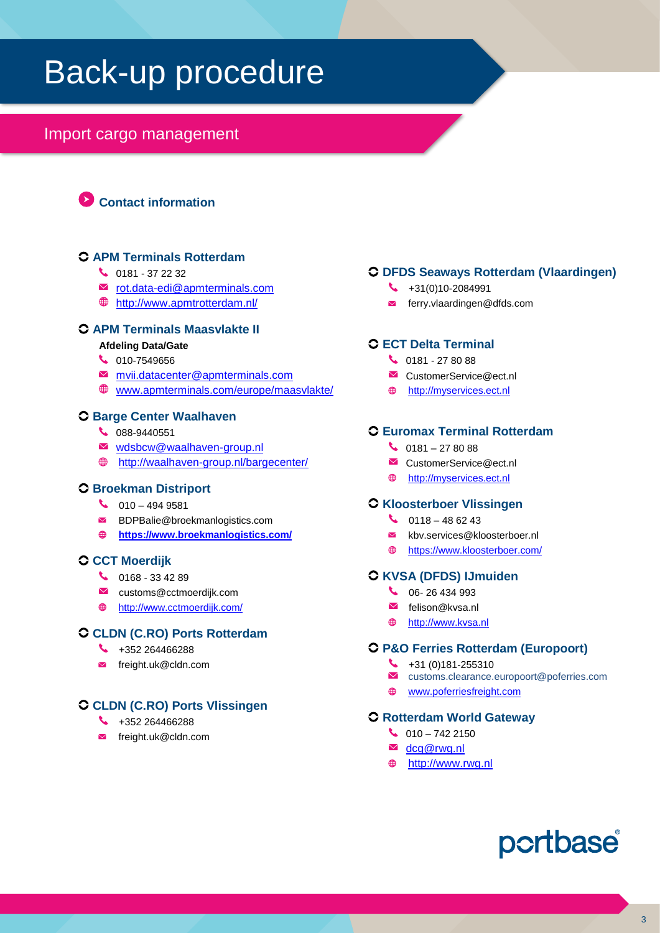# Back-up procedure

# Import cargo management

**Contact information**

# **APM Terminals Rotterdam**

- $\begin{array}{cc} \bigcup_{181} 0181 372232 \end{array}$
- **■** [rot.data-edi@apmterminals.com](mailto:rot.data-edi@apmterminals.com)
- <http://www.apmtrotterdam.nl/>

# **APM Terminals Maasvlakte II**

- **Afdeling Data/Gate**
- 6 010-7549656
- [mvii.datacenter@apmterminals.com](mailto:mvii.gatecoordinator@apmterminals.com)
- [www.apmterminals.com/europe/maasvlakte/](http://www.apmterminals.com/europe/maasvlakte/)

#### **Barge Center Waalhaven**

- 088-9440551
- $\blacksquare$  [wdsbcw@waalhaven-group.nl](mailto:wdsbcw@waalhaven-group.nl)
- <http://waalhaven-group.nl/bargecenter/>

# **Broekman Distriport**

- $\bigcup_{10}$  010 494 9581
- BDPBalie@broekmanlogistics.com
- **<https://www.broekmanlogistics.com/>**

#### **CCT Moerdijk**

- $\bigcup$  0168 33 42 89
- customs@cctmoerdijk.com
- <http://www.cctmoerdijk.com/>

#### **CLDN (C.RO) Ports Rotterdam**

- $\begin{array}{r} \bigstar \ \end{array}$  +352 264466288
- $\blacksquare$  freight.uk@cldn.com

# **CLDN (C.RO) Ports Vlissingen**

- $\begin{array}{r} \bigstar \ \end{array}$  +352 264466288
- freight.uk@cldn.com

# **DFDS Seaways Rotterdam (Vlaardingen)**

- $\begin{array}{cc} \big\downarrow & +31(0)10 2084991 \end{array}$
- $\blacksquare$  ferry.vlaardingen@dfds.com

# **ECT Delta Terminal**

- $\bigcup$  0181 27 80 88
- CustomerService@ect.nl
- $\oplus$ [http://myservices.ect.nl](http://myservices.ect.nl/)

# **Euromax Terminal Rotterdam**

- $\bigcup$  0181 27 80 88
- CustomerService@ect.nl
- [http://myservices.ect.nl](http://myservices.ect.nl/)

#### **Kloosterboer Vlissingen**

- $\bigcup_{118-48.6243}$
- $\blacksquare$ kbv.services@kloosterboer.nl
- [https://www.kloosterboer.com/](https://www.broekmanlogistics.com/)

### **KVSA (DFDS) IJmuiden**

- C 06- 26 434 993
- $\blacksquare$  felison@kvsa.nl
- $\oplus$ [http://www.kvsa.nl](http://www.kvsa.nl/)

# **P&O Ferries Rotterdam (Europoort)**

- $\begin{array}{r} \bigstar \ \end{array}$  +31 (0)181-255310
- customs.clearance.europoort@poferries.com
- $\oplus$ [www.poferriesfreight.com](file://///ad.portbase.com/fileshare/Corporate/PublicCorp/Marketing%20en%20Sales/00%20Services%20(Publicatie%20intern%20eo%20extern)/02%20Back-up%20procedures/NL/Melding%20Import%20Documentatie/Oud/www.poferriesfreight.com)

#### **Rotterdam World Gateway**

- $\begin{array}{c} \bigcup_{10} 0 & 0 \\ \bigcup_{10} 0 & 0 \\ \hline \end{array}$
- **M** [dcg@rwg.nl](mailto:dcg@rwg.nl)
- [http://www.rwg.nl](http://www.rwg.nl/)